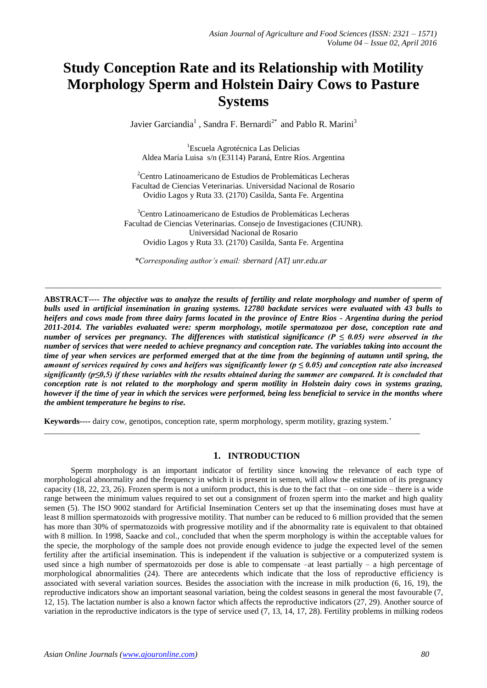# **Study Conception Rate and its Relationship with Motility Morphology Sperm and Holstein Dairy Cows to Pasture Systems**

Javier Garciandia<sup>1</sup>, Sandra F. Bernardi<sup>2\*</sup> and Pablo R. Marini<sup>3</sup>

<sup>1</sup>Escuela Agrotécnica Las Delicias Aldea María Luisa s/n (E3114) Paraná, Entre Ríos. Argentina

<sup>2</sup>Centro Latinoamericano de Estudios de Problemáticas Lecheras Facultad de Ciencias Veterinarias. Universidad Nacional de Rosario Ovidio Lagos y Ruta 33. (2170) Casilda, Santa Fe. Argentina

<sup>3</sup>Centro Latinoamericano de Estudios de Problemáticas Lecheras Facultad de Ciencias Veterinarias. Consejo de Investigaciones (CIUNR). Universidad Nacional de Rosario Ovidio Lagos y Ruta 33. (2170) Casilda, Santa Fe. Argentina

\_\_\_\_\_\_\_\_\_\_\_\_\_\_\_\_\_\_\_\_\_\_\_\_\_\_\_\_\_\_\_\_\_\_\_\_\_\_\_\_\_\_\_\_\_\_\_\_\_\_\_\_\_\_\_\_\_\_\_\_\_\_\_\_\_\_\_\_\_\_\_\_\_\_\_\_\_\_\_\_\_\_\_\_\_\_\_\_\_\_\_\_\_\_\_\_\_

*\*Corresponding author's email: sbernard [AT] unr.edu.ar*

**ABSTRACT----** *The objective was to analyze the results of fertility and relate morphology and number of sperm of bulls used in artificial insemination in grazing systems. 12780 backdate services were evaluated with 43 bulls to heifers and cows made from three dairy farms located in the province of Entre Rios - Argentina during the period 2011-2014. The variables evaluated were: sperm morphology, motile spermatozoa per dose, conception rate and number of services per pregnancy. The differences with statistical significance (P*  $\leq$  *0.05) were observed in the number of services that were needed to achieve pregnancy and conception rate. The variables taking into account the time of year when services are performed emerged that at the time from the beginning of autumn until spring, the amount of services required by cows and heifers was significantly lower (p ≤ 0.05) and conception rate also increased significantly (p≤0,5) if these variables with the results obtained during the summer are compared. It is concluded that conception rate is not related to the morphology and sperm motility in Holstein dairy cows in systems grazing, however if the time of year in which the services were performed, being less beneficial to service in the months where the ambient temperature he begins to rise.*

**Keywords----** dairy cow, genotipos, conception rate, sperm morphology, sperm motility, grazing system.'

\_\_\_\_\_\_\_\_\_\_\_\_\_\_\_\_\_\_\_\_\_\_\_\_\_\_\_\_\_\_\_\_\_\_\_\_\_\_\_\_\_\_\_\_\_\_\_\_\_\_\_\_\_\_\_\_\_\_\_\_\_\_\_\_\_\_\_\_\_\_\_\_\_\_\_\_\_\_\_\_\_\_\_\_\_\_\_\_\_\_\_\_

# **1. INTRODUCTION**

 Sperm morphology is an important indicator of fertility since knowing the relevance of each type of morphological abnormality and the frequency in which it is present in semen, will allow the estimation of its pregnancy capacity (18, 22, 23, 26). Frozen sperm is not a uniform product, this is due to the fact that – on one side – there is a wide range between the minimum values required to set out a consignment of frozen sperm into the market and high quality semen (5). The ISO 9002 standard for Artificial Insemination Centers set up that the inseminating doses must have at least 8 million spermatozoids with progressive motility. That number can be reduced to 6 million provided that the semen has more than 30% of spermatozoids with progressive motility and if the abnormality rate is equivalent to that obtained with 8 million. In 1998, Saacke and col., concluded that when the sperm morphology is within the acceptable values for the specie, the morphology of the sample does not provide enough evidence to judge the expected level of the semen fertility after the artificial insemination. This is independent if the valuation is subjective or a computerized system is used since a high number of spermatozoids per dose is able to compensate –at least partially – a high percentage of morphological abnormalities (24). There are antecedents which indicate that the loss of reproductive efficiency is associated with several variation sources. Besides the association with the increase in milk production (6, 16, 19), the reproductive indicators show an important seasonal variation, being the coldest seasons in general the most favourable (7, 12, 15). The lactation number is also a known factor which affects the reproductive indicators (27, 29). Another source of variation in the reproductive indicators is the type of service used (7, 13, 14, 17, 28). Fertility problems in milking rodeos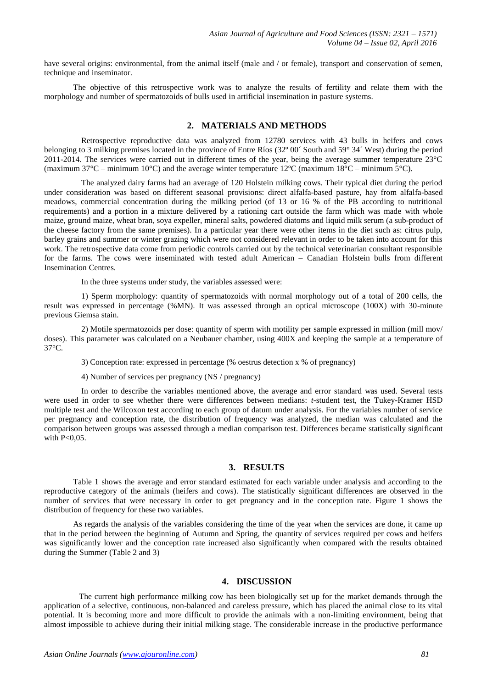have several origins: environmental, from the animal itself (male and / or female), transport and conservation of semen, technique and inseminator.

The objective of this retrospective work was to analyze the results of fertility and relate them with the morphology and number of spermatozoids of bulls used in artificial insemination in pasture systems.

# **2. MATERIALS AND METHODS**

Retrospective reproductive data was analyzed from 12780 services with 43 bulls in heifers and cows belonging to 3 milking premises located in the province of Entre Ríos (32º 00´ South and 59° 34´ West) during the period 2011-2014. The services were carried out in different times of the year, being the average summer temperature 23°C (maximum 37°C – minimum 10°C) and the average winter temperature 12°C (maximum 18°C – minimum 5°C).

The analyzed dairy farms had an average of 120 Holstein milking cows. Their typical diet during the period under consideration was based on different seasonal provisions: direct alfalfa-based pasture, hay from alfalfa-based meadows, commercial concentration during the milking period (of 13 or 16 % of the PB according to nutritional requirements) and a portion in a mixture delivered by a rationing cart outside the farm which was made with whole maize, ground maize, wheat bran, soya expeller, mineral salts, powdered diatoms and liquid milk serum (a sub-product of the cheese factory from the same premises). In a particular year there were other items in the diet such as: citrus pulp, barley grains and summer or winter grazing which were not considered relevant in order to be taken into account for this work. The retrospective data come from periodic controls carried out by the technical veterinarian consultant responsible for the farms. The cows were inseminated with tested adult American – Canadian Holstein bulls from different Insemination Centres.

In the three systems under study, the variables assessed were:

1) Sperm morphology: quantity of spermatozoids with normal morphology out of a total of 200 cells, the result was expressed in percentage (%MN). It was assessed through an optical microscope (100X) with 30-minute previous Giemsa stain.

2) Motile spermatozoids per dose: quantity of sperm with motility per sample expressed in million (mill mov/ doses). This parameter was calculated on a Neubauer chamber, using 400X and keeping the sample at a temperature of 37°C.

3) Conception rate: expressed in percentage (% oestrus detection x % of pregnancy)

4) Number of services per pregnancy (NS / pregnancy)

In order to describe the variables mentioned above, the average and error standard was used. Several tests were used in order to see whether there were differences between medians: *t-*student test, the Tukey-Kramer HSD multiple test and the Wilcoxon test according to each group of datum under analysis. For the variables number of service per pregnancy and conception rate, the distribution of frequency was analyzed, the median was calculated and the comparison between groups was assessed through a median comparison test. Differences became statistically significant with  $P<0.05$ .

# **3. RESULTS**

Table 1 shows the average and error standard estimated for each variable under analysis and according to the reproductive category of the animals (heifers and cows). The statistically significant differences are observed in the number of services that were necessary in order to get pregnancy and in the conception rate. Figure 1 shows the distribution of frequency for these two variables.

As regards the analysis of the variables considering the time of the year when the services are done, it came up that in the period between the beginning of Autumn and Spring, the quantity of services required per cows and heifers was significantly lower and the conception rate increased also significantly when compared with the results obtained during the Summer (Table 2 and 3)

# **4. DISCUSSION**

The current high performance milking cow has been biologically set up for the market demands through the application of a selective, continuous, non-balanced and careless pressure, which has placed the animal close to its vital potential. It is becoming more and more difficult to provide the animals with a non-limiting environment, being that almost impossible to achieve during their initial milking stage. The considerable increase in the productive performance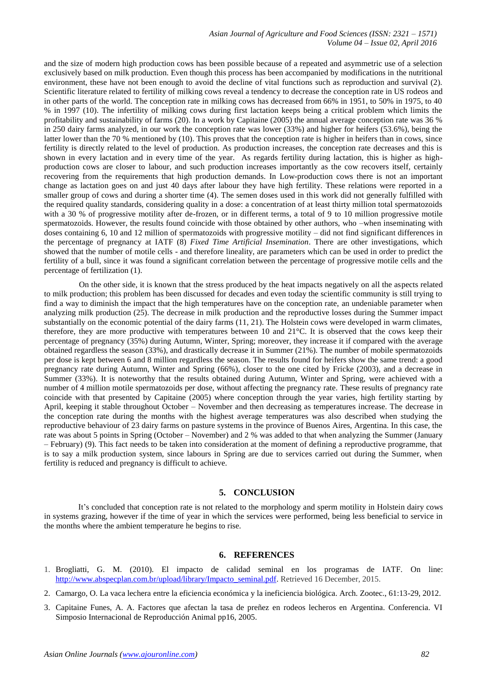*Asian Journal of Agriculture and Food Sciences (ISSN: 2321 – 1571) Volume 04 – Issue 02, April 2016*

and the size of modern high production cows has been possible because of a repeated and asymmetric use of a selection exclusively based on milk production. Even though this process has been accompanied by modifications in the nutritional environment, these have not been enough to avoid the decline of vital functions such as reproduction and survival (2). Scientific literature related to fertility of milking cows reveal a tendency to decrease the conception rate in US rodeos and in other parts of the world. The conception rate in milking cows has decreased from 66% in 1951, to 50% in 1975, to 40 % in 1997 (10). The infertility of milking cows during first lactation keeps being a critical problem which limits the profitability and sustainability of farms (20). In a work by Capitaine (2005) the annual average conception rate was 36 % in 250 dairy farms analyzed, in our work the conception rate was lower (33%) and higher for heifers (53.6%), being the latter lower than the 70 % mentioned by (10). This proves that the conception rate is higher in heifers than in cows, since fertility is directly related to the level of production. As production increases, the conception rate decreases and this is shown in every lactation and in every time of the year. As regards fertility during lactation, this is higher as highproduction cows are closer to labour, and such production increases importantly as the cow recovers itself, certainly recovering from the requirements that high production demands. In Low-production cows there is not an important change as lactation goes on and just 40 days after labour they have high fertility. These relations were reported in a smaller group of cows and during a shorter time (4). The semen doses used in this work did not generally fulfilled with the required quality standards, considering quality in a dose: a concentration of at least thirty million total spermatozoids with a 30 % of progressive motility after de-frozen, or in different terms, a total of 9 to 10 million progressive motile spermatozoids. However, the results found coincide with those obtained by other authors, who –when inseminating with doses containing 6, 10 and 12 million of spermatozoids with progressive motility – did not find significant differences in the percentage of pregnancy at IATF (8) *Fixed Time Artificial Insemination*. There are other investigations, which showed that the number of motile cells - and therefore lineality, are parameters which can be used in order to predict the fertility of a bull, since it was found a significant correlation between the percentage of progressive motile cells and the percentage of fertilization (1).

On the other side, it is known that the stress produced by the heat impacts negatively on all the aspects related to milk production; this problem has been discussed for decades and even today the scientific community is still trying to find a way to diminish the impact that the high temperatures have on the conception rate, an undeniable parameter when analyzing milk production (25). The decrease in milk production and the reproductive losses during the Summer impact substantially on the economic potential of the dairy farms (11, 21). The Holstein cows were developed in warm climates, therefore, they are more productive with temperatures between 10 and 21°C. It is observed that the cows keep their percentage of pregnancy (35%) during Autumn, Winter, Spring; moreover, they increase it if compared with the average obtained regardless the season (33%), and drastically decrease it in Summer (21%). The number of mobile spermatozoids per dose is kept between 6 and 8 million regardless the season. The results found for heifers show the same trend: a good pregnancy rate during Autumn, Winter and Spring (66%), closer to the one cited by Fricke (2003), and a decrease in Summer (33%). It is noteworthy that the results obtained during Autumn, Winter and Spring, were achieved with a number of 4 million motile spermatozoids per dose, without affecting the pregnancy rate. These results of pregnancy rate coincide with that presented by Capitaine (2005) where conception through the year varies, high fertility starting by April, keeping it stable throughout October – November and then decreasing as temperatures increase. The decrease in the conception rate during the months with the highest average temperatures was also described when studying the reproductive behaviour of 23 dairy farms on pasture systems in the province of Buenos Aires, Argentina. In this case, the rate was about 5 points in Spring (October – November) and 2 % was added to that when analyzing the Summer (January – February) (9). This fact needs to be taken into consideration at the moment of defining a reproductive programme, that is to say a milk production system, since labours in Spring are due to services carried out during the Summer, when fertility is reduced and pregnancy is difficult to achieve.

#### **5. CONCLUSION**

 It's concluded that conception rate is not related to the morphology and sperm motility in Holstein dairy cows in systems grazing, however if the time of year in which the services were performed, being less beneficial to service in the months where the ambient temperature he begins to rise.

### **6. REFERENCES**

- 1. Brogliatti, G. M. (2010). El impacto de calidad seminal en los programas de IATF. On line: [http://www.abspecplan.com.br/upload/library/Impacto\\_seminal.pdf.](http://www.abspecplan.com.br/upload/library/Impacto_seminal.pdf) Retrieved 16 December, 2015.
- 2. Camargo, O. La vaca lechera entre la eficiencia económica y la ineficiencia biológica. Arch. Zootec., 61:13-29, 2012.
- 3. Capitaine Funes, A. A. Factores que afectan la tasa de preñez en rodeos lecheros en Argentina. Conferencia. VI Simposio Internacional de Reproducción Animal pp16, 2005.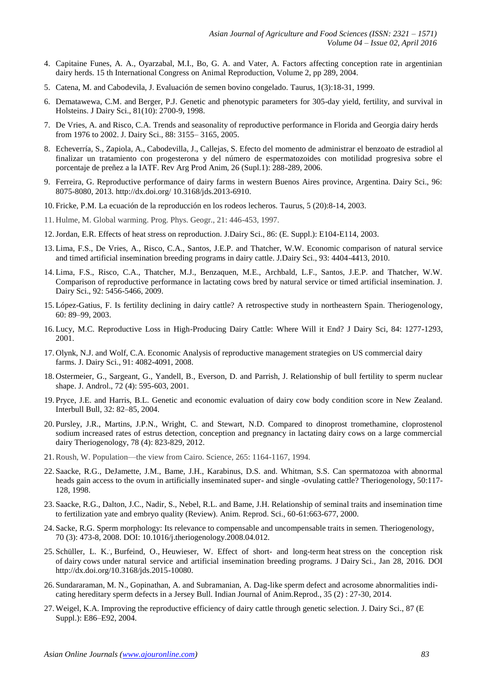- 4. Capitaine Funes, A. A., Oyarzabal, M.I., Bo, G. A. and Vater, A. Factors affecting conception rate in argentinian dairy herds. 15 th International Congress on Animal Reproduction, Volume 2, pp 289, 2004.
- 5. Catena, M. and Cabodevila, J. Evaluación de semen bovino congelado. Taurus, 1(3):18-31, 1999.
- 6. [Dematawewa, C.M.](http://www.ncbi.nlm.nih.gov/pubmed/?term=Dematawewa%20CM%5BAuthor%5D&cauthor=true&cauthor_uid=9812275) and [Berger, P.J.](http://www.ncbi.nlm.nih.gov/pubmed/?term=Berger%20PJ%5BAuthor%5D&cauthor=true&cauthor_uid=9812275) Genetic and phenotypic parameters for 305-day yield, fertility, and survival in Holsteins. [J Dairy Sci.,](http://www.ncbi.nlm.nih.gov/pubmed/9812275) 81(10): 2700-9, 1998.
- 7. De Vries, A. and Risco, C.A. Trends and seasonality of reproductive performance in Florida and Georgia dairy herds from 1976 to 2002. J. Dairy Sci., 88: 3155– 3165, 2005.
- 8. Echeverría, S., Zapiola, A., Cabodevilla, J., Callejas, S. Efecto del momento de administrar el benzoato de estradiol al finalizar un tratamiento con progesterona y del número de espermatozoides con motilidad progresiva sobre el porcentaje de preñez a la IATF. Rev Arg Prod Anim, 26 (Supl.1): 288-289, 2006.
- 9. Ferreira, G. Reproductive performance of dairy farms in western Buenos Aires province, Argentina. Dairy Sci., 96: 8075-8080, 2013. http://dx.doi.org/ 10.3168/jds.2013-6910.
- 10. Fricke, P.M. La ecuación de la reproducción en los rodeos lecheros. Taurus, 5 (20):8-14, 2003.
- 11. Hulme, M. Global warming. Prog. Phys. Geogr., 21: 446-453, 1997.
- 12.Jordan, E.R. Effects of heat stress on reproduction. J.Dairy Sci., 86: (E. Suppl.): E104-E114, 2003.
- 13. Lima, F.S., De Vries, A., Risco, C.A., Santos, J.E.P. and Thatcher, W.W. Economic comparison of natural service and timed artificial insemination breeding programs in dairy cattle. J.Dairy Sci., 93: 4404-4413, 2010.
- 14. Lima, F.S., Risco, C.A., Thatcher, M.J., Benzaquen, M.E., Archbald, L.F., Santos, J.E.P. and Thatcher, W.W. Comparison of reproductive performance in lactating cows bred by natural service or timed artificial insemination. J. Dairy Sci., 92: 5456-5466, 2009.
- 15. López-Gatius, F. Is fertility declining in dairy cattle? A retrospective study in northeastern Spain. Theriogenology, 60: 89–99, 2003.
- 16. Lucy, M.C. Reproductive Loss in High-Producing Dairy Cattle: Where Will it End? J Dairy Sci, 84: 1277-1293, 2001.
- 17. Olynk, N.J. and Wolf, C.A. Economic Analysis of reproductive management strategies on US commercial dairy farms. J. Dairy Sci., 91: 4082-4091, 2008.
- 18. Ostermeier, G., Sargeant, G., Yandell, B., Everson, D. and Parrish, J. Relationship of bull fertility to sperm nuclear shape. J. Androl., 72 (4): 595-603, 2001.
- 19. Pryce, J.E. and Harris, B.L. Genetic and economic evaluation of dairy cow body condition score in New Zealand. Interbull Bull, 32: 82–85, 2004.
- 20. Pursley, J.R., Martins, J.P.N., Wright, C. and Stewart, N.D. [Compared to dinoprost tromethamine, cloprostenol](http://www.sciencedirect.com/science/article/pii/S0093691X12002038) [sodium increased rates of estrus detection, conception and pregnancy in lactating dairy cows on a large commercial](http://www.sciencedirect.com/science/article/pii/S0093691X12002038)  [dairy](http://www.sciencedirect.com/science/article/pii/S0093691X12002038) Theriogenology, 78 (4): 823-829, 2012.
- 21.Roush, W. Population—the view from Cairo. Science, 265: 1164-1167, 1994.
- 22. Saacke, R.G., DeJamette, J.M., Bame, J.H., Karabinus, D.S. and. Whitman, S.S. Can spermatozoa with abnormal heads gain access to the ovum in artificially inseminated super- and single -ovulating cattle? Theriogenology, 50:117- 128, 1998.
- 23. Saacke, R.G., Dalton, J.C., Nadir, S., Nebel, R.L. and Bame, J.H. Relationship of seminal traits and insemination time to fertilization yate and embryo quality (Review). Anim. Reprod. Sci., 60-61:663-677, 2000.
- 24. Sacke, R.G. Sperm morphology: Its relevance to compensable and uncompensable traits in semen. [Theriogenology,](http://www.ncbi.nlm.nih.gov/pubmed/18495234)  70 (3): 473-8, 2008. DOI: 10.1016/j.theriogenology.2008.04.012.
- 25. [Schüller, L. K.](http://www.ncbi.nlm.nih.gov/pubmed/?term=Sch%C3%BCller%20LK%5BAuthor%5D&cauthor=true&cauthor_uid=26830751) . , [Burfeind, O.](http://www.ncbi.nlm.nih.gov/pubmed/?term=Burfeind%20O%5BAuthor%5D&cauthor=true&cauthor_uid=26830751), [Heuwieser, W.](http://www.ncbi.nlm.nih.gov/pubmed/?term=Heuwieser%20W%5BAuthor%5D&cauthor=true&cauthor_uid=26830751) Effect of short- and long-term heat stress on the conception risk of dairy cows under natural service and artificial insemination breeding programs. J [Dairy](http://www.ncbi.nlm.nih.gov/pubmed/26830751) Sci., Jan 28, 2016. DOI http://dx.doi.org/10.3168/jds.2015-10080.
- 26. Sundararaman, M. N., Gopinathan, A. and Subramanian, A. Dag-like sperm defect and acrosome abnormalities indicating hereditary sperm defects in a Jersey Bull. Indian Journal of Anim.Reprod., 35 (2) : 27-30, 2014.
- 27. Weigel, K.A. Improving the reproductive efficiency of dairy cattle through genetic selection. J. Dairy Sci., 87 (E Suppl.): E86–E92, 2004.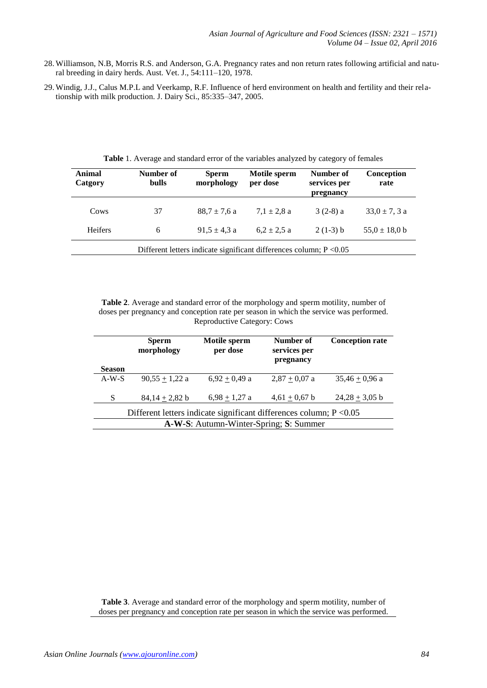- 28. Williamson, N.B, Morris R.S. and Anderson, G.A. Pregnancy rates and non return rates following artificial and natural breeding in dairy herds. Aust. Vet. J., 54:111–120, 1978.
- 29. Windig, J.J., Calus M.P.L and Veerkamp, R.F. Influence of herd environment on health and fertility and their relationship with milk production. J. Dairy Sci., 85:335–347, 2005.

| Animal<br>Catgory                                                     | Number of<br><b>bulls</b> | <b>Sperm</b><br>morphology | Motile sperm<br>per dose | Number of<br>services per<br>pregnancy | Conception<br>rate |  |
|-----------------------------------------------------------------------|---------------------------|----------------------------|--------------------------|----------------------------------------|--------------------|--|
| Cows                                                                  | 37                        | $88.7 \pm 7.6 a$           | $7.1 \pm 2.8$ a          | $3(2-8)$ a                             | $33.0 \pm 7.3$ a   |  |
| <b>Heifers</b>                                                        | 6                         | $91.5 \pm 4.3$ a           | $6.2 \pm 2.5$ a          | $2(1-3)$ b                             | $55,0 \pm 18,0$ b  |  |
| Different letters indicate significant differences column; $P < 0.05$ |                           |                            |                          |                                        |                    |  |

**Table** 1. Average and standard error of the variables analyzed by category of females

**Table 2**. Average and standard error of the morphology and sperm motility, number of doses per pregnancy and conception rate per season in which the service was performed. Reproductive Category: Cows

| <b>Season</b>                                                         | <b>Sperm</b><br>morphology | Motile sperm<br>per dose | Number of<br>services per<br>pregnancy | <b>Conception rate</b> |  |  |
|-----------------------------------------------------------------------|----------------------------|--------------------------|----------------------------------------|------------------------|--|--|
| $A-W-S$                                                               | $90.55 + 1.22$ a           | $6,92 + 0,49$ a          | $2,87 + 0,07$ a                        | $35,46 + 0,96$ a       |  |  |
| S                                                                     | $84,14 + 2,82$ b           | $6.98 + 1.27$ a          | $4,61 \pm 0,67$ b                      | $24,28 \pm 3,05$ b     |  |  |
| Different letters indicate significant differences column; $P < 0.05$ |                            |                          |                                        |                        |  |  |
| A-W-S: Autumn-Winter-Spring; S: Summer                                |                            |                          |                                        |                        |  |  |

**Table 3**. Average and standard error of the morphology and sperm motility, number of doses per pregnancy and conception rate per season in which the service was performed.